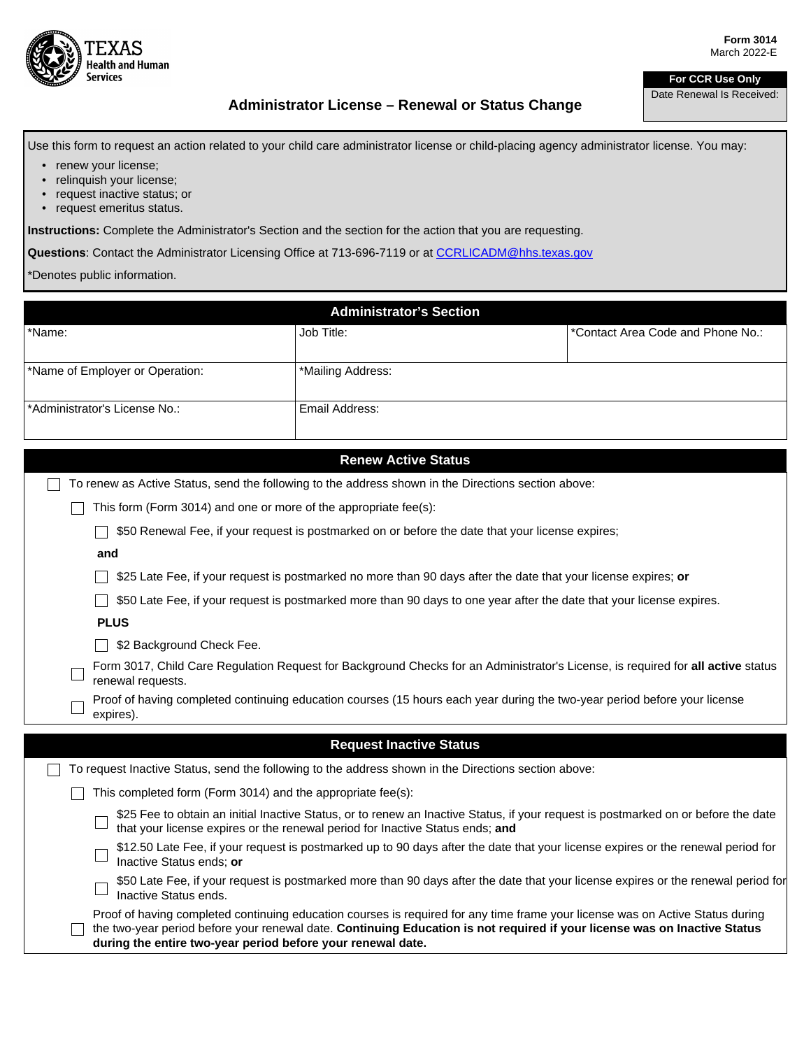

## **For CCR Use Only**

Date Renewal Is Received:

## **Administrator License – Renewal or Status Change**

Use this form to request an action related to your child care administrator license or child-placing agency administrator license. You may:

- renew your license;
- relinquish your license;
- request inactive status; or
- request emeritus status.

**Instructions:** Complete the Administrator's Section and the section for the action that you are requesting.

**Questions**: Contact the Administrator Licensing Office at 713-696-7119 or at [CCRLICADM@hhs.texas.gov](mailto:CCRLICADM@hhs.texas.gov)

```
*Denotes public information.
```

|                                                                  | <b>Administrator's Section</b>                                                                      |                                   |  |
|------------------------------------------------------------------|-----------------------------------------------------------------------------------------------------|-----------------------------------|--|
| *Name:                                                           | Job Title:                                                                                          | *Contact Area Code and Phone No.: |  |
|                                                                  |                                                                                                     |                                   |  |
| *Name of Employer or Operation:                                  | *Mailing Address:                                                                                   |                                   |  |
|                                                                  |                                                                                                     |                                   |  |
| *Administrator's License No.:                                    | Email Address:                                                                                      |                                   |  |
|                                                                  |                                                                                                     |                                   |  |
| <b>Renew Active Status</b>                                       |                                                                                                     |                                   |  |
|                                                                  | To renew as Active Status, send the following to the address shown in the Directions section above: |                                   |  |
| This form (Form 3014) and one or more of the appropriate fee(s): |                                                                                                     |                                   |  |
|                                                                  |                                                                                                     |                                   |  |

**550 Renewal Fee, if your request is postmarked on or before the date that your license expires;** 

## **and**

\$25 Late Fee, if your request is postmarked no more than 90 days after the date that your license expires; **or**

 $\Box$  \$50 Late Fee, if your request is postmarked more than 90 days to one year after the date that your license expires.

**PLUS**

□ \$2 Background Check Fee.

- Form 3017, Child Care Regulation Request for Background Checks for an Administrator's License, is required for **all active** status renewal requests.
- Proof of having completed continuing education courses (15 hours each year during the two-year period before your license expires).

| <b>Request Inactive Status</b>                                                                                                                                                                                                                                                                                             |  |  |
|----------------------------------------------------------------------------------------------------------------------------------------------------------------------------------------------------------------------------------------------------------------------------------------------------------------------------|--|--|
| To request Inactive Status, send the following to the address shown in the Directions section above:                                                                                                                                                                                                                       |  |  |
| This completed form (Form 3014) and the appropriate fee(s):                                                                                                                                                                                                                                                                |  |  |
| \$25 Fee to obtain an initial Inactive Status, or to renew an Inactive Status, if your request is postmarked on or before the date<br>that your license expires or the renewal period for Inactive Status ends; and                                                                                                        |  |  |
| \$12.50 Late Fee, if your request is postmarked up to 90 days after the date that your license expires or the renewal period for<br>Inactive Status ends: or                                                                                                                                                               |  |  |
| \$50 Late Fee, if your request is postmarked more than 90 days after the date that your license expires or the renewal period for<br>Inactive Status ends.                                                                                                                                                                 |  |  |
| Proof of having completed continuing education courses is required for any time frame your license was on Active Status during<br>the two-year period before your renewal date. Continuing Education is not required if your license was on Inactive Status<br>during the entire two-year period before your renewal date. |  |  |